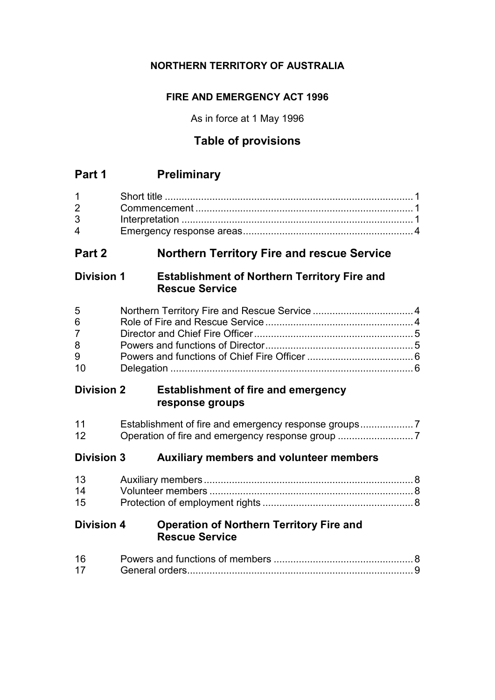# **NORTHERN TERRITORY OF AUSTRALIA**

# **FIRE AND EMERGENCY ACT 1996**

As in force at 1 May 1996

# **Table of provisions**

# **Part 1 Preliminary**

| $1 \quad \blacksquare$ |  |
|------------------------|--|
| $\overline{2}$         |  |
| $3^{\circ}$            |  |
| $\mathbf 4$            |  |

# **Part 2 Northern Territory Fire and rescue Service**

## **Division 1 Establishment of Northern Territory Fire and Rescue Service**

| 5 <sup>1</sup> |  |
|----------------|--|
| 6              |  |
| $7 \quad$      |  |
| 8              |  |
| 9              |  |
| 10             |  |

# **Division 2 Establishment of fire and emergency response groups**

| 11 |  |
|----|--|
| 12 |  |

# **Division 3 Auxiliary members and volunteer members**

| 14 |  |
|----|--|
| 15 |  |

# **Division 4 Operation of Northern Territory Fire and Rescue Service**

| 16 |  |
|----|--|
|    |  |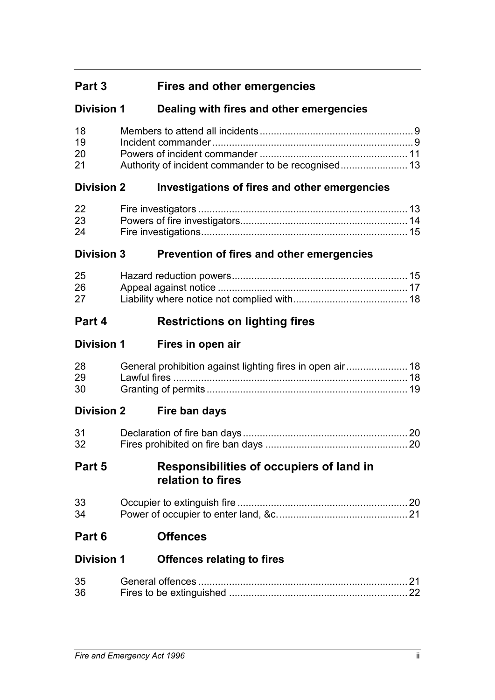# **Part 3 Fires and other emergencies**

# **Division 1 Dealing with fires and other emergencies**

| 18 |  |
|----|--|
| 19 |  |
| 20 |  |
| 21 |  |

# **Division 2 Investigations of fires and other emergencies**

| 22 |  |
|----|--|
| 23 |  |
| 24 |  |

# **Division 3 Prevention of fires and other emergencies**

| 25 |  |
|----|--|
| 26 |  |
| 27 |  |

# **Part 4 Restrictions on lighting fires**

# **Division 1 Fires in open air**

| 28 |  |
|----|--|
| 29 |  |
| 30 |  |

# **Division 2 Fire ban days**

| 31 |  |
|----|--|
| 32 |  |

# **Part 5 Responsibilities of occupiers of land in relation to fires**

| 33 |  |
|----|--|
| 34 |  |

# **Part 6 Offences**

# **Division 1 Offences relating to fires**

| 35 |  |
|----|--|
| 36 |  |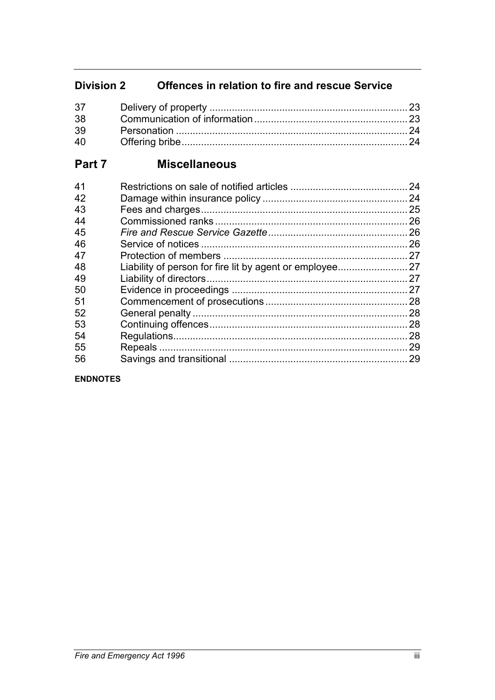# **Division 2 Offences in relation to fire and rescue Service**

| 38 |  |
|----|--|
| 39 |  |
| 40 |  |

# **Part 7 Miscellaneous**

| 41 |                                                       | 24  |
|----|-------------------------------------------------------|-----|
| 42 |                                                       | 24  |
| 43 |                                                       | 25  |
| 44 |                                                       | 26  |
| 45 |                                                       | 26  |
| 46 |                                                       | .26 |
| 47 |                                                       | 27  |
| 48 | Liability of person for fire lit by agent or employee | 27  |
| 49 |                                                       |     |
| 50 |                                                       |     |
| 51 |                                                       | 28  |
| 52 |                                                       | 28  |
| 53 |                                                       | .28 |
| 54 |                                                       | 28  |
| 55 |                                                       | 29  |
| 56 |                                                       | .29 |
|    |                                                       |     |

**ENDNOTES**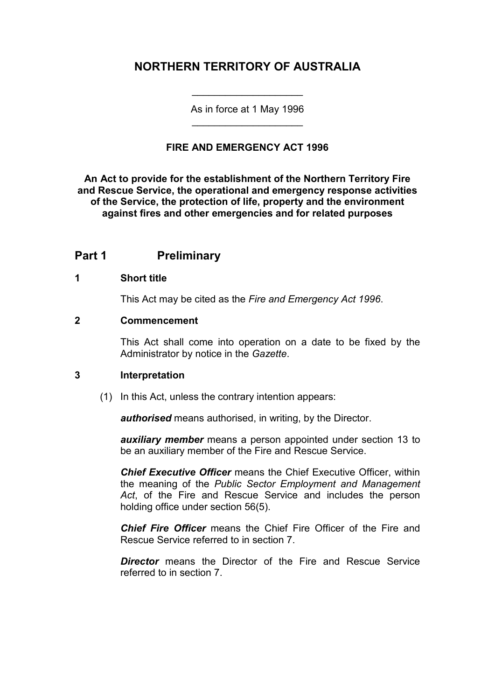# **NORTHERN TERRITORY OF AUSTRALIA**

As in force at 1 May 1996 \_\_\_\_\_\_\_\_\_\_\_\_\_\_\_\_\_\_\_\_

\_\_\_\_\_\_\_\_\_\_\_\_\_\_\_\_\_\_\_\_

### **FIRE AND EMERGENCY ACT 1996**

**An Act to provide for the establishment of the Northern Territory Fire and Rescue Service, the operational and emergency response activities of the Service, the protection of life, property and the environment against fires and other emergencies and for related purposes**

### **Part 1 Preliminary**

#### **1 Short title**

This Act may be cited as the *Fire and Emergency Act 1996*.

#### **2 Commencement**

This Act shall come into operation on a date to be fixed by the Administrator by notice in the *Gazette*.

#### **3 Interpretation**

(1) In this Act, unless the contrary intention appears:

*authorised* means authorised, in writing, by the Director.

*auxiliary member* means a person appointed under section 13 to be an auxiliary member of the Fire and Rescue Service.

*Chief Executive Officer* means the Chief Executive Officer, within the meaning of the *Public Sector Employment and Management Act*, of the Fire and Rescue Service and includes the person holding office under section 56(5).

*Chief Fire Officer* means the Chief Fire Officer of the Fire and Rescue Service referred to in section 7.

*Director* means the Director of the Fire and Rescue Service referred to in section 7.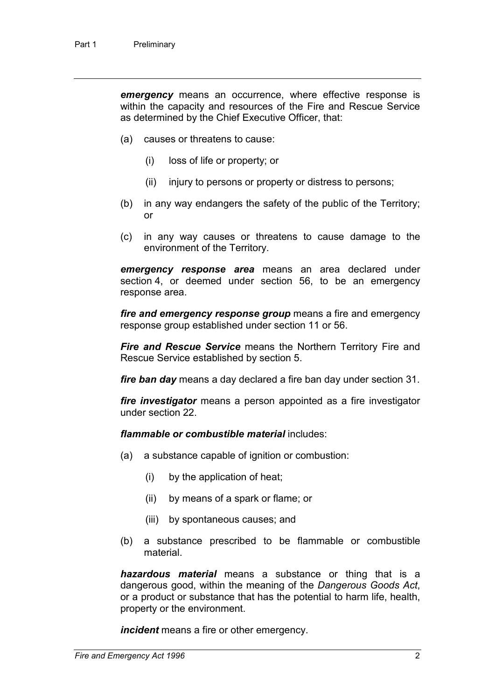*emergency* means an occurrence, where effective response is within the capacity and resources of the Fire and Rescue Service as determined by the Chief Executive Officer, that:

- (a) causes or threatens to cause:
	- (i) loss of life or property; or
	- (ii) injury to persons or property or distress to persons;
- (b) in any way endangers the safety of the public of the Territory; or
- (c) in any way causes or threatens to cause damage to the environment of the Territory.

*emergency response area* means an area declared under section 4, or deemed under section 56, to be an emergency response area.

*fire and emergency response group* means a fire and emergency response group established under section 11 or 56.

*Fire and Rescue Service* means the Northern Territory Fire and Rescue Service established by section 5.

*fire ban day* means a day declared a fire ban day under section 31.

*fire investigator* means a person appointed as a fire investigator under section 22.

*flammable or combustible material* includes:

- (a) a substance capable of ignition or combustion:
	- (i) by the application of heat;
	- (ii) by means of a spark or flame; or
	- (iii) by spontaneous causes; and
- (b) a substance prescribed to be flammable or combustible material.

*hazardous material* means a substance or thing that is a dangerous good, within the meaning of the *Dangerous Goods Act*, or a product or substance that has the potential to harm life, health, property or the environment.

*incident* means a fire or other emergency.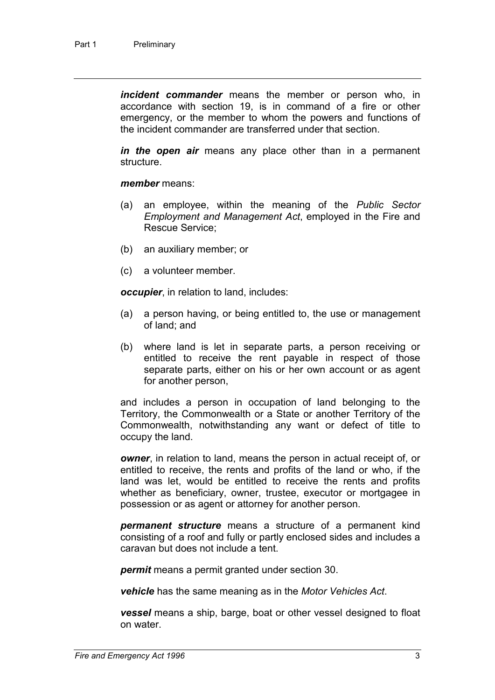*incident commander* means the member or person who, in accordance with section 19, is in command of a fire or other emergency, or the member to whom the powers and functions of the incident commander are transferred under that section.

*in the open air* means any place other than in a permanent structure.

#### *member* means:

- (a) an employee, within the meaning of the *Public Sector Employment and Management Act*, employed in the Fire and Rescue Service;
- (b) an auxiliary member; or
- (c) a volunteer member.

*occupier*, in relation to land, includes:

- (a) a person having, or being entitled to, the use or management of land; and
- (b) where land is let in separate parts, a person receiving or entitled to receive the rent payable in respect of those separate parts, either on his or her own account or as agent for another person,

and includes a person in occupation of land belonging to the Territory, the Commonwealth or a State or another Territory of the Commonwealth, notwithstanding any want or defect of title to occupy the land.

*owner*, in relation to land, means the person in actual receipt of, or entitled to receive, the rents and profits of the land or who, if the land was let, would be entitled to receive the rents and profits whether as beneficiary, owner, trustee, executor or mortgagee in possession or as agent or attorney for another person.

*permanent structure* means a structure of a permanent kind consisting of a roof and fully or partly enclosed sides and includes a caravan but does not include a tent.

*permit* means a permit granted under section 30.

*vehicle* has the same meaning as in the *Motor Vehicles Act*.

*vessel* means a ship, barge, boat or other vessel designed to float on water.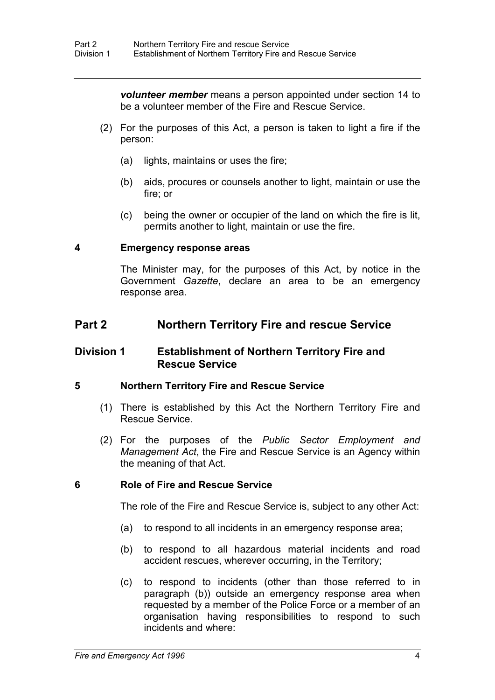*volunteer member* means a person appointed under section 14 to be a volunteer member of the Fire and Rescue Service.

- (2) For the purposes of this Act, a person is taken to light a fire if the person:
	- (a) lights, maintains or uses the fire;
	- (b) aids, procures or counsels another to light, maintain or use the fire; or
	- (c) being the owner or occupier of the land on which the fire is lit, permits another to light, maintain or use the fire.

#### **4 Emergency response areas**

The Minister may, for the purposes of this Act, by notice in the Government *Gazette*, declare an area to be an emergency response area.

### **Part 2 Northern Territory Fire and rescue Service**

### **Division 1 Establishment of Northern Territory Fire and Rescue Service**

#### **5 Northern Territory Fire and Rescue Service**

- (1) There is established by this Act the Northern Territory Fire and Rescue Service.
- (2) For the purposes of the *Public Sector Employment and Management Act*, the Fire and Rescue Service is an Agency within the meaning of that Act.

#### **6 Role of Fire and Rescue Service**

The role of the Fire and Rescue Service is, subject to any other Act:

- (a) to respond to all incidents in an emergency response area;
- (b) to respond to all hazardous material incidents and road accident rescues, wherever occurring, in the Territory;
- (c) to respond to incidents (other than those referred to in paragraph (b)) outside an emergency response area when requested by a member of the Police Force or a member of an organisation having responsibilities to respond to such incidents and where: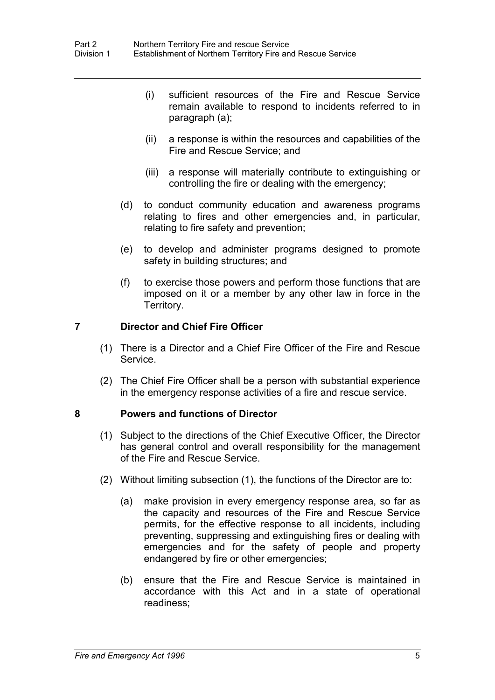- (i) sufficient resources of the Fire and Rescue Service remain available to respond to incidents referred to in paragraph (a);
- (ii) a response is within the resources and capabilities of the Fire and Rescue Service; and
- (iii) a response will materially contribute to extinguishing or controlling the fire or dealing with the emergency;
- (d) to conduct community education and awareness programs relating to fires and other emergencies and, in particular, relating to fire safety and prevention;
- (e) to develop and administer programs designed to promote safety in building structures; and
- (f) to exercise those powers and perform those functions that are imposed on it or a member by any other law in force in the Territory.

#### **7 Director and Chief Fire Officer**

- (1) There is a Director and a Chief Fire Officer of the Fire and Rescue Service.
- (2) The Chief Fire Officer shall be a person with substantial experience in the emergency response activities of a fire and rescue service.

#### **8 Powers and functions of Director**

- (1) Subject to the directions of the Chief Executive Officer, the Director has general control and overall responsibility for the management of the Fire and Rescue Service.
- (2) Without limiting subsection (1), the functions of the Director are to:
	- (a) make provision in every emergency response area, so far as the capacity and resources of the Fire and Rescue Service permits, for the effective response to all incidents, including preventing, suppressing and extinguishing fires or dealing with emergencies and for the safety of people and property endangered by fire or other emergencies;
	- (b) ensure that the Fire and Rescue Service is maintained in accordance with this Act and in a state of operational readiness;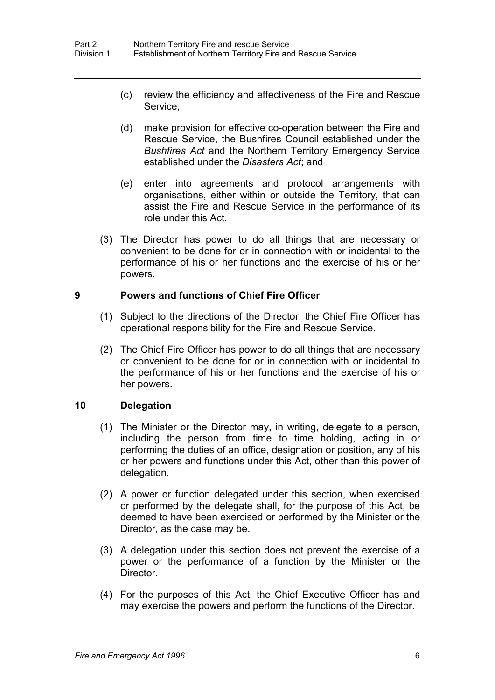- (c) review the efficiency and effectiveness of the Fire and Rescue Service;
- (d) make provision for effective co-operation between the Fire and Rescue Service, the Bushfires Council established under the *Bushfires Act* and the Northern Territory Emergency Service established under the *Disasters Act*; and
- (e) enter into agreements and protocol arrangements with organisations, either within or outside the Territory, that can assist the Fire and Rescue Service in the performance of its role under this Act.
- (3) The Director has power to do all things that are necessary or convenient to be done for or in connection with or incidental to the performance of his or her functions and the exercise of his or her powers.

### **9 Powers and functions of Chief Fire Officer**

- (1) Subject to the directions of the Director, the Chief Fire Officer has operational responsibility for the Fire and Rescue Service.
- (2) The Chief Fire Officer has power to do all things that are necessary or convenient to be done for or in connection with or incidental to the performance of his or her functions and the exercise of his or her powers.

### **10 Delegation**

- (1) The Minister or the Director may, in writing, delegate to a person, including the person from time to time holding, acting in or performing the duties of an office, designation or position, any of his or her powers and functions under this Act, other than this power of delegation.
- (2) A power or function delegated under this section, when exercised or performed by the delegate shall, for the purpose of this Act, be deemed to have been exercised or performed by the Minister or the Director, as the case may be.
- (3) A delegation under this section does not prevent the exercise of a power or the performance of a function by the Minister or the Director.
- (4) For the purposes of this Act, the Chief Executive Officer has and may exercise the powers and perform the functions of the Director.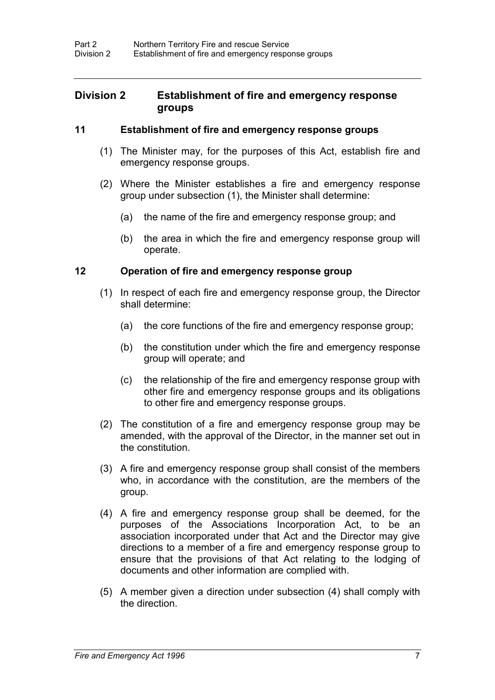### **Division 2 Establishment of fire and emergency response groups**

#### **11 Establishment of fire and emergency response groups**

- (1) The Minister may, for the purposes of this Act, establish fire and emergency response groups.
- (2) Where the Minister establishes a fire and emergency response group under subsection (1), the Minister shall determine:
	- (a) the name of the fire and emergency response group; and
	- (b) the area in which the fire and emergency response group will operate.

### **12 Operation of fire and emergency response group**

- (1) In respect of each fire and emergency response group, the Director shall determine:
	- (a) the core functions of the fire and emergency response group;
	- (b) the constitution under which the fire and emergency response group will operate; and
	- (c) the relationship of the fire and emergency response group with other fire and emergency response groups and its obligations to other fire and emergency response groups.
- (2) The constitution of a fire and emergency response group may be amended, with the approval of the Director, in the manner set out in the constitution.
- (3) A fire and emergency response group shall consist of the members who, in accordance with the constitution, are the members of the group.
- (4) A fire and emergency response group shall be deemed, for the purposes of the Associations Incorporation Act, to be an association incorporated under that Act and the Director may give directions to a member of a fire and emergency response group to ensure that the provisions of that Act relating to the lodging of documents and other information are complied with.
- (5) A member given a direction under subsection (4) shall comply with the direction.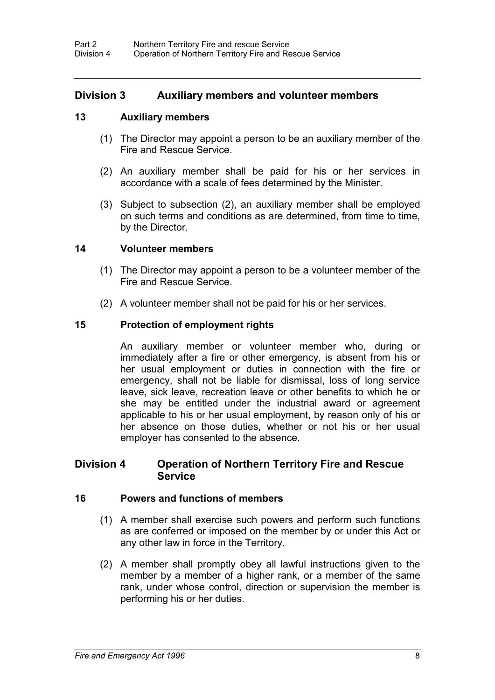### **Division 3 Auxiliary members and volunteer members**

#### **13 Auxiliary members**

- (1) The Director may appoint a person to be an auxiliary member of the Fire and Rescue Service.
- (2) An auxiliary member shall be paid for his or her services in accordance with a scale of fees determined by the Minister.
- (3) Subject to subsection (2), an auxiliary member shall be employed on such terms and conditions as are determined, from time to time, by the Director.

#### **14 Volunteer members**

- (1) The Director may appoint a person to be a volunteer member of the Fire and Rescue Service.
- (2) A volunteer member shall not be paid for his or her services.

### **15 Protection of employment rights**

An auxiliary member or volunteer member who, during or immediately after a fire or other emergency, is absent from his or her usual employment or duties in connection with the fire or emergency, shall not be liable for dismissal, loss of long service leave, sick leave, recreation leave or other benefits to which he or she may be entitled under the industrial award or agreement applicable to his or her usual employment, by reason only of his or her absence on those duties, whether or not his or her usual employer has consented to the absence.

### **Division 4 Operation of Northern Territory Fire and Rescue Service**

#### **16 Powers and functions of members**

- (1) A member shall exercise such powers and perform such functions as are conferred or imposed on the member by or under this Act or any other law in force in the Territory.
- (2) A member shall promptly obey all lawful instructions given to the member by a member of a higher rank, or a member of the same rank, under whose control, direction or supervision the member is performing his or her duties.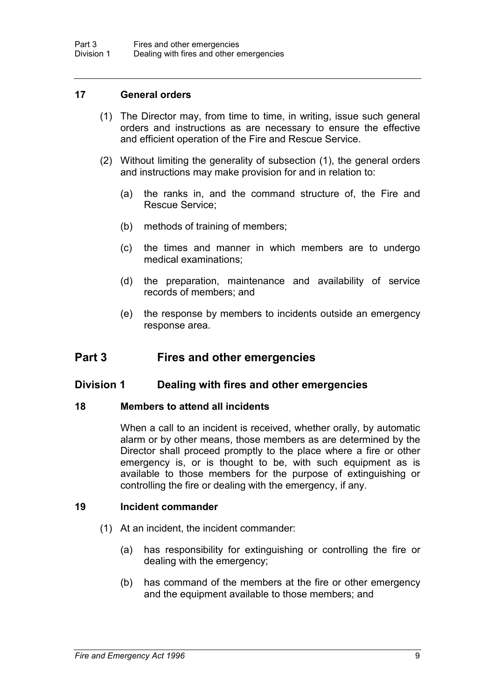#### **17 General orders**

- (1) The Director may, from time to time, in writing, issue such general orders and instructions as are necessary to ensure the effective and efficient operation of the Fire and Rescue Service.
- (2) Without limiting the generality of subsection (1), the general orders and instructions may make provision for and in relation to:
	- (a) the ranks in, and the command structure of, the Fire and Rescue Service;
	- (b) methods of training of members;
	- (c) the times and manner in which members are to undergo medical examinations;
	- (d) the preparation, maintenance and availability of service records of members; and
	- (e) the response by members to incidents outside an emergency response area.

### **Part 3 Fires and other emergencies**

#### **Division 1 Dealing with fires and other emergencies**

#### **18 Members to attend all incidents**

When a call to an incident is received, whether orally, by automatic alarm or by other means, those members as are determined by the Director shall proceed promptly to the place where a fire or other emergency is, or is thought to be, with such equipment as is available to those members for the purpose of extinguishing or controlling the fire or dealing with the emergency, if any.

#### **19 Incident commander**

- (1) At an incident, the incident commander:
	- (a) has responsibility for extinguishing or controlling the fire or dealing with the emergency;
	- (b) has command of the members at the fire or other emergency and the equipment available to those members; and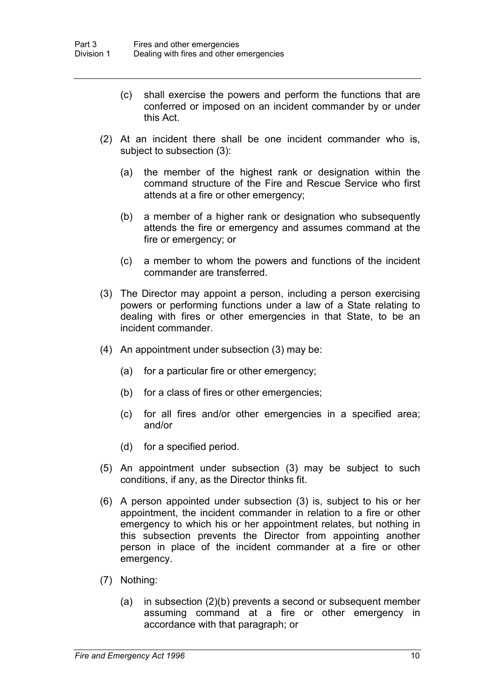- (c) shall exercise the powers and perform the functions that are conferred or imposed on an incident commander by or under this Act.
- (2) At an incident there shall be one incident commander who is, subject to subsection (3):
	- (a) the member of the highest rank or designation within the command structure of the Fire and Rescue Service who first attends at a fire or other emergency;
	- (b) a member of a higher rank or designation who subsequently attends the fire or emergency and assumes command at the fire or emergency; or
	- (c) a member to whom the powers and functions of the incident commander are transferred.
- (3) The Director may appoint a person, including a person exercising powers or performing functions under a law of a State relating to dealing with fires or other emergencies in that State, to be an incident commander.
- (4) An appointment under subsection (3) may be:
	- (a) for a particular fire or other emergency;
	- (b) for a class of fires or other emergencies;
	- (c) for all fires and/or other emergencies in a specified area; and/or
	- (d) for a specified period.
- (5) An appointment under subsection (3) may be subject to such conditions, if any, as the Director thinks fit.
- (6) A person appointed under subsection (3) is, subject to his or her appointment, the incident commander in relation to a fire or other emergency to which his or her appointment relates, but nothing in this subsection prevents the Director from appointing another person in place of the incident commander at a fire or other emergency.
- (7) Nothing:
	- (a) in subsection (2)(b) prevents a second or subsequent member assuming command at a fire or other emergency in accordance with that paragraph; or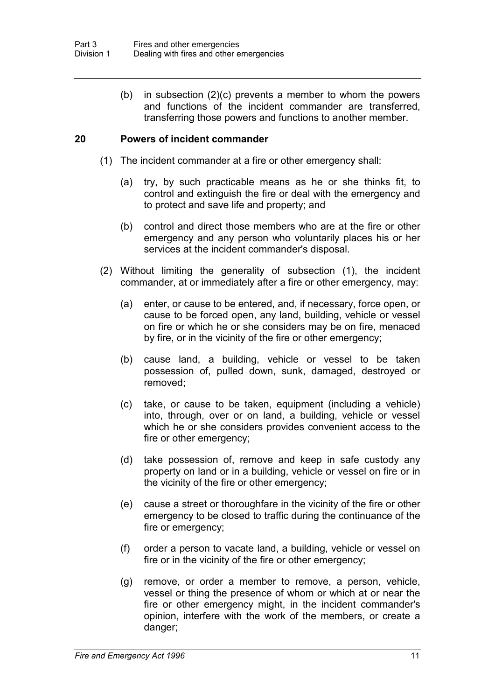(b) in subsection (2)(c) prevents a member to whom the powers and functions of the incident commander are transferred, transferring those powers and functions to another member.

### **20 Powers of incident commander**

- (1) The incident commander at a fire or other emergency shall:
	- (a) try, by such practicable means as he or she thinks fit, to control and extinguish the fire or deal with the emergency and to protect and save life and property; and
	- (b) control and direct those members who are at the fire or other emergency and any person who voluntarily places his or her services at the incident commander's disposal.
- (2) Without limiting the generality of subsection (1), the incident commander, at or immediately after a fire or other emergency, may:
	- (a) enter, or cause to be entered, and, if necessary, force open, or cause to be forced open, any land, building, vehicle or vessel on fire or which he or she considers may be on fire, menaced by fire, or in the vicinity of the fire or other emergency;
	- (b) cause land, a building, vehicle or vessel to be taken possession of, pulled down, sunk, damaged, destroyed or removed;
	- (c) take, or cause to be taken, equipment (including a vehicle) into, through, over or on land, a building, vehicle or vessel which he or she considers provides convenient access to the fire or other emergency;
	- (d) take possession of, remove and keep in safe custody any property on land or in a building, vehicle or vessel on fire or in the vicinity of the fire or other emergency;
	- (e) cause a street or thoroughfare in the vicinity of the fire or other emergency to be closed to traffic during the continuance of the fire or emergency;
	- (f) order a person to vacate land, a building, vehicle or vessel on fire or in the vicinity of the fire or other emergency;
	- (g) remove, or order a member to remove, a person, vehicle, vessel or thing the presence of whom or which at or near the fire or other emergency might, in the incident commander's opinion, interfere with the work of the members, or create a danger;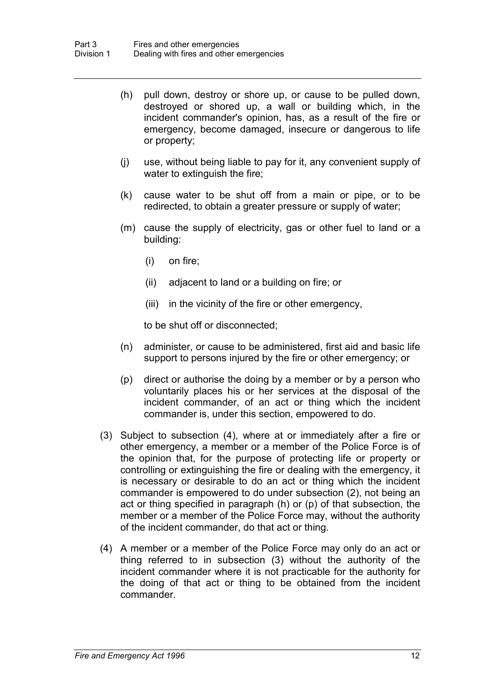- (h) pull down, destroy or shore up, or cause to be pulled down, destroyed or shored up, a wall or building which, in the incident commander's opinion, has, as a result of the fire or emergency, become damaged, insecure or dangerous to life or property;
- (j) use, without being liable to pay for it, any convenient supply of water to extinguish the fire;
- (k) cause water to be shut off from a main or pipe, or to be redirected, to obtain a greater pressure or supply of water;
- (m) cause the supply of electricity, gas or other fuel to land or a building:
	- (i) on fire;
	- (ii) adjacent to land or a building on fire; or
	- (iii) in the vicinity of the fire or other emergency,

to be shut off or disconnected;

- (n) administer, or cause to be administered, first aid and basic life support to persons injured by the fire or other emergency; or
- (p) direct or authorise the doing by a member or by a person who voluntarily places his or her services at the disposal of the incident commander, of an act or thing which the incident commander is, under this section, empowered to do.
- (3) Subject to subsection (4), where at or immediately after a fire or other emergency, a member or a member of the Police Force is of the opinion that, for the purpose of protecting life or property or controlling or extinguishing the fire or dealing with the emergency, it is necessary or desirable to do an act or thing which the incident commander is empowered to do under subsection (2), not being an act or thing specified in paragraph (h) or (p) of that subsection, the member or a member of the Police Force may, without the authority of the incident commander, do that act or thing.
- (4) A member or a member of the Police Force may only do an act or thing referred to in subsection (3) without the authority of the incident commander where it is not practicable for the authority for the doing of that act or thing to be obtained from the incident commander.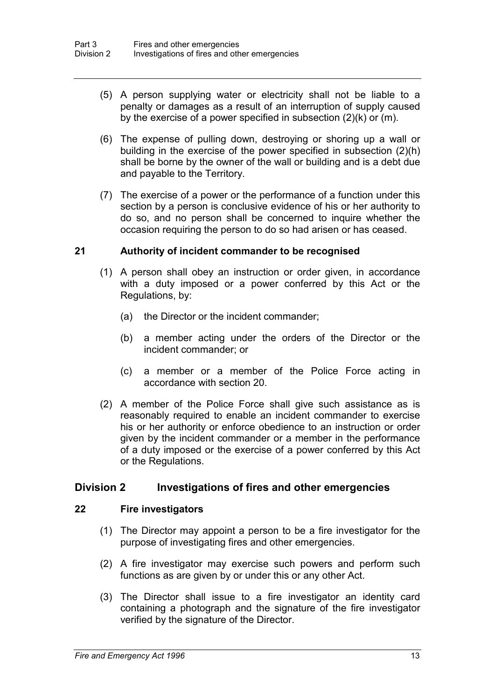- (5) A person supplying water or electricity shall not be liable to a penalty or damages as a result of an interruption of supply caused by the exercise of a power specified in subsection (2)(k) or (m).
- (6) The expense of pulling down, destroying or shoring up a wall or building in the exercise of the power specified in subsection (2)(h) shall be borne by the owner of the wall or building and is a debt due and payable to the Territory.
- (7) The exercise of a power or the performance of a function under this section by a person is conclusive evidence of his or her authority to do so, and no person shall be concerned to inquire whether the occasion requiring the person to do so had arisen or has ceased.

### **21 Authority of incident commander to be recognised**

- (1) A person shall obey an instruction or order given, in accordance with a duty imposed or a power conferred by this Act or the Regulations, by:
	- (a) the Director or the incident commander;
	- (b) a member acting under the orders of the Director or the incident commander; or
	- (c) a member or a member of the Police Force acting in accordance with section 20.
- (2) A member of the Police Force shall give such assistance as is reasonably required to enable an incident commander to exercise his or her authority or enforce obedience to an instruction or order given by the incident commander or a member in the performance of a duty imposed or the exercise of a power conferred by this Act or the Regulations.

### **Division 2 Investigations of fires and other emergencies**

#### **22 Fire investigators**

- (1) The Director may appoint a person to be a fire investigator for the purpose of investigating fires and other emergencies.
- (2) A fire investigator may exercise such powers and perform such functions as are given by or under this or any other Act.
- (3) The Director shall issue to a fire investigator an identity card containing a photograph and the signature of the fire investigator verified by the signature of the Director.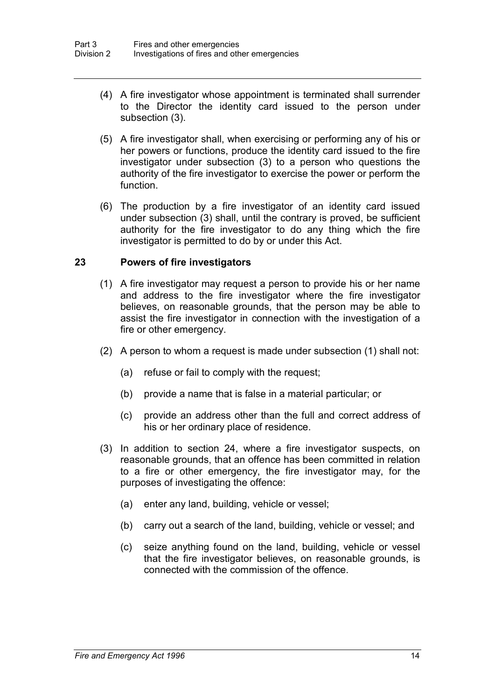- (4) A fire investigator whose appointment is terminated shall surrender to the Director the identity card issued to the person under subsection (3).
- (5) A fire investigator shall, when exercising or performing any of his or her powers or functions, produce the identity card issued to the fire investigator under subsection (3) to a person who questions the authority of the fire investigator to exercise the power or perform the function.
- (6) The production by a fire investigator of an identity card issued under subsection (3) shall, until the contrary is proved, be sufficient authority for the fire investigator to do any thing which the fire investigator is permitted to do by or under this Act.

#### **23 Powers of fire investigators**

- (1) A fire investigator may request a person to provide his or her name and address to the fire investigator where the fire investigator believes, on reasonable grounds, that the person may be able to assist the fire investigator in connection with the investigation of a fire or other emergency.
- (2) A person to whom a request is made under subsection (1) shall not:
	- (a) refuse or fail to comply with the request;
	- (b) provide a name that is false in a material particular; or
	- (c) provide an address other than the full and correct address of his or her ordinary place of residence.
- (3) In addition to section 24, where a fire investigator suspects, on reasonable grounds, that an offence has been committed in relation to a fire or other emergency, the fire investigator may, for the purposes of investigating the offence:
	- (a) enter any land, building, vehicle or vessel;
	- (b) carry out a search of the land, building, vehicle or vessel; and
	- (c) seize anything found on the land, building, vehicle or vessel that the fire investigator believes, on reasonable grounds, is connected with the commission of the offence.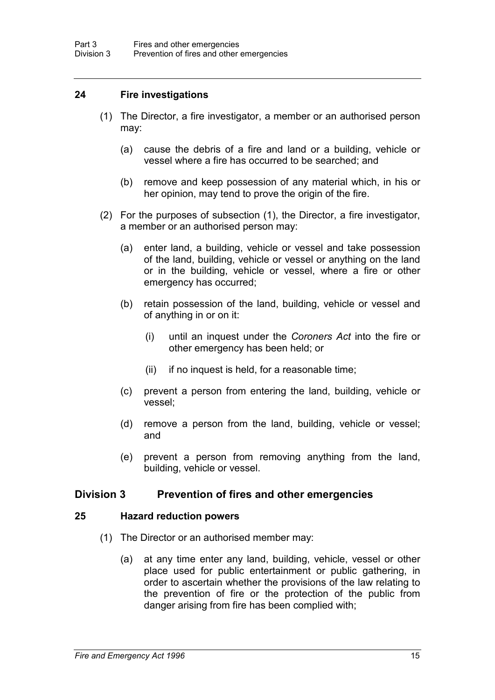#### **24 Fire investigations**

- (1) The Director, a fire investigator, a member or an authorised person may:
	- (a) cause the debris of a fire and land or a building, vehicle or vessel where a fire has occurred to be searched; and
	- (b) remove and keep possession of any material which, in his or her opinion, may tend to prove the origin of the fire.
- (2) For the purposes of subsection (1), the Director, a fire investigator, a member or an authorised person may:
	- (a) enter land, a building, vehicle or vessel and take possession of the land, building, vehicle or vessel or anything on the land or in the building, vehicle or vessel, where a fire or other emergency has occurred;
	- (b) retain possession of the land, building, vehicle or vessel and of anything in or on it:
		- (i) until an inquest under the *Coroners Act* into the fire or other emergency has been held; or
		- (ii) if no inquest is held, for a reasonable time;
	- (c) prevent a person from entering the land, building, vehicle or vessel;
	- (d) remove a person from the land, building, vehicle or vessel; and
	- (e) prevent a person from removing anything from the land, building, vehicle or vessel.

### **Division 3 Prevention of fires and other emergencies**

#### **25 Hazard reduction powers**

- (1) The Director or an authorised member may:
	- (a) at any time enter any land, building, vehicle, vessel or other place used for public entertainment or public gathering, in order to ascertain whether the provisions of the law relating to the prevention of fire or the protection of the public from danger arising from fire has been complied with;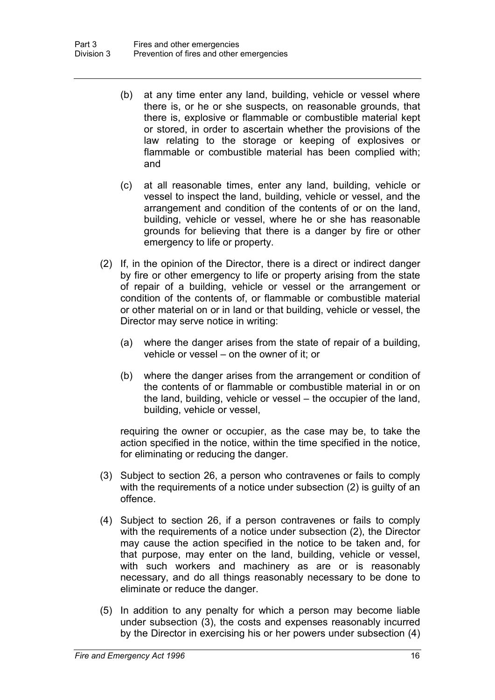- (b) at any time enter any land, building, vehicle or vessel where there is, or he or she suspects, on reasonable grounds, that there is, explosive or flammable or combustible material kept or stored, in order to ascertain whether the provisions of the law relating to the storage or keeping of explosives or flammable or combustible material has been complied with; and
- (c) at all reasonable times, enter any land, building, vehicle or vessel to inspect the land, building, vehicle or vessel, and the arrangement and condition of the contents of or on the land, building, vehicle or vessel, where he or she has reasonable grounds for believing that there is a danger by fire or other emergency to life or property.
- (2) If, in the opinion of the Director, there is a direct or indirect danger by fire or other emergency to life or property arising from the state of repair of a building, vehicle or vessel or the arrangement or condition of the contents of, or flammable or combustible material or other material on or in land or that building, vehicle or vessel, the Director may serve notice in writing:
	- (a) where the danger arises from the state of repair of a building, vehicle or vessel – on the owner of it; or
	- (b) where the danger arises from the arrangement or condition of the contents of or flammable or combustible material in or on the land, building, vehicle or vessel – the occupier of the land, building, vehicle or vessel,

requiring the owner or occupier, as the case may be, to take the action specified in the notice, within the time specified in the notice, for eliminating or reducing the danger.

- (3) Subject to section 26, a person who contravenes or fails to comply with the requirements of a notice under subsection (2) is guilty of an offence.
- (4) Subject to section 26, if a person contravenes or fails to comply with the requirements of a notice under subsection (2), the Director may cause the action specified in the notice to be taken and, for that purpose, may enter on the land, building, vehicle or vessel, with such workers and machinery as are or is reasonably necessary, and do all things reasonably necessary to be done to eliminate or reduce the danger.
- (5) In addition to any penalty for which a person may become liable under subsection (3), the costs and expenses reasonably incurred by the Director in exercising his or her powers under subsection (4)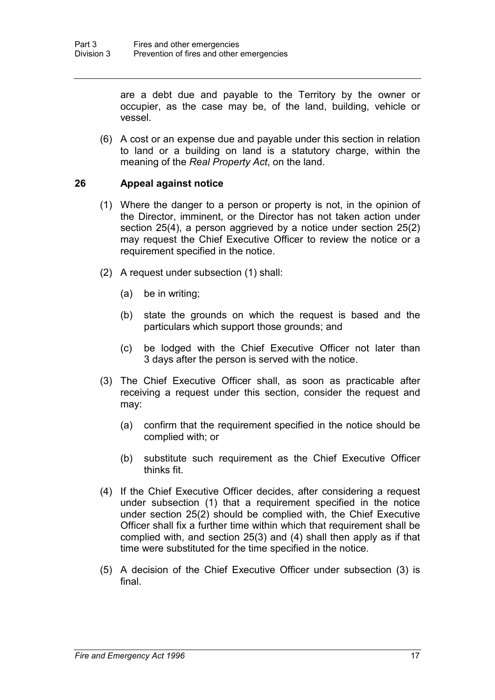are a debt due and payable to the Territory by the owner or occupier, as the case may be, of the land, building, vehicle or vessel.

(6) A cost or an expense due and payable under this section in relation to land or a building on land is a statutory charge, within the meaning of the *Real Property Act*, on the land.

#### **26 Appeal against notice**

- (1) Where the danger to a person or property is not, in the opinion of the Director, imminent, or the Director has not taken action under section 25(4), a person aggrieved by a notice under section 25(2) may request the Chief Executive Officer to review the notice or a requirement specified in the notice.
- (2) A request under subsection (1) shall:
	- (a) be in writing;
	- (b) state the grounds on which the request is based and the particulars which support those grounds; and
	- (c) be lodged with the Chief Executive Officer not later than 3 days after the person is served with the notice.
- (3) The Chief Executive Officer shall, as soon as practicable after receiving a request under this section, consider the request and may:
	- (a) confirm that the requirement specified in the notice should be complied with; or
	- (b) substitute such requirement as the Chief Executive Officer thinks fit.
- (4) If the Chief Executive Officer decides, after considering a request under subsection (1) that a requirement specified in the notice under section 25(2) should be complied with, the Chief Executive Officer shall fix a further time within which that requirement shall be complied with, and section 25(3) and (4) shall then apply as if that time were substituted for the time specified in the notice.
- (5) A decision of the Chief Executive Officer under subsection (3) is final.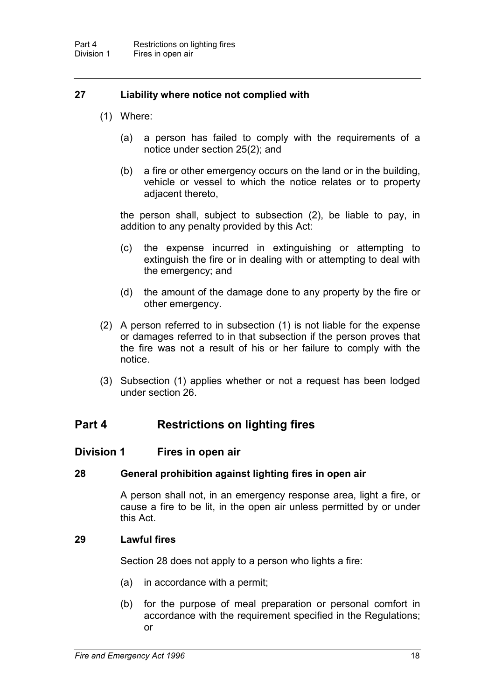### **27 Liability where notice not complied with**

- (1) Where:
	- (a) a person has failed to comply with the requirements of a notice under section 25(2); and
	- (b) a fire or other emergency occurs on the land or in the building, vehicle or vessel to which the notice relates or to property adjacent thereto,

the person shall, subject to subsection (2), be liable to pay, in addition to any penalty provided by this Act:

- (c) the expense incurred in extinguishing or attempting to extinguish the fire or in dealing with or attempting to deal with the emergency; and
- (d) the amount of the damage done to any property by the fire or other emergency.
- (2) A person referred to in subsection (1) is not liable for the expense or damages referred to in that subsection if the person proves that the fire was not a result of his or her failure to comply with the notice.
- (3) Subsection (1) applies whether or not a request has been lodged under section 26.

# **Part 4 Restrictions on lighting fires**

### **Division 1 Fires in open air**

#### **28 General prohibition against lighting fires in open air**

A person shall not, in an emergency response area, light a fire, or cause a fire to be lit, in the open air unless permitted by or under this Act.

#### **29 Lawful fires**

Section 28 does not apply to a person who lights a fire:

- (a) in accordance with a permit;
- (b) for the purpose of meal preparation or personal comfort in accordance with the requirement specified in the Regulations; or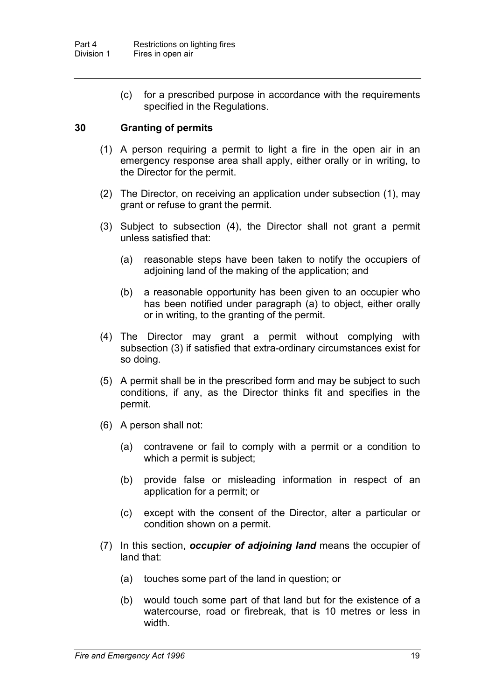(c) for a prescribed purpose in accordance with the requirements specified in the Regulations.

### **30 Granting of permits**

- (1) A person requiring a permit to light a fire in the open air in an emergency response area shall apply, either orally or in writing, to the Director for the permit.
- (2) The Director, on receiving an application under subsection (1), may grant or refuse to grant the permit.
- (3) Subject to subsection (4), the Director shall not grant a permit unless satisfied that:
	- (a) reasonable steps have been taken to notify the occupiers of adjoining land of the making of the application; and
	- (b) a reasonable opportunity has been given to an occupier who has been notified under paragraph (a) to object, either orally or in writing, to the granting of the permit.
- (4) The Director may grant a permit without complying with subsection (3) if satisfied that extra-ordinary circumstances exist for so doing.
- (5) A permit shall be in the prescribed form and may be subject to such conditions, if any, as the Director thinks fit and specifies in the permit.
- (6) A person shall not:
	- (a) contravene or fail to comply with a permit or a condition to which a permit is subject;
	- (b) provide false or misleading information in respect of an application for a permit; or
	- (c) except with the consent of the Director, alter a particular or condition shown on a permit.
- (7) In this section, *occupier of adjoining land* means the occupier of land that:
	- (a) touches some part of the land in question; or
	- (b) would touch some part of that land but for the existence of a watercourse, road or firebreak, that is 10 metres or less in width.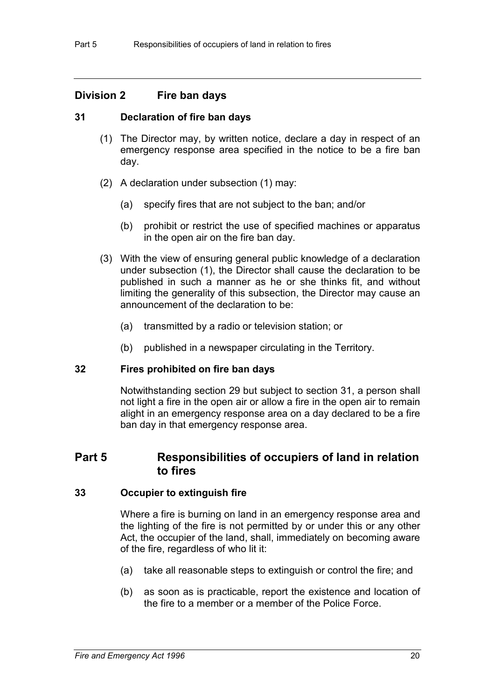### **Division 2 Fire ban days**

### **31 Declaration of fire ban days**

- (1) The Director may, by written notice, declare a day in respect of an emergency response area specified in the notice to be a fire ban day.
- (2) A declaration under subsection (1) may:
	- (a) specify fires that are not subject to the ban; and/or
	- (b) prohibit or restrict the use of specified machines or apparatus in the open air on the fire ban day.
- (3) With the view of ensuring general public knowledge of a declaration under subsection (1), the Director shall cause the declaration to be published in such a manner as he or she thinks fit, and without limiting the generality of this subsection, the Director may cause an announcement of the declaration to be:
	- (a) transmitted by a radio or television station; or
	- (b) published in a newspaper circulating in the Territory.

#### **32 Fires prohibited on fire ban days**

Notwithstanding section 29 but subject to section 31, a person shall not light a fire in the open air or allow a fire in the open air to remain alight in an emergency response area on a day declared to be a fire ban day in that emergency response area.

# **Part 5 Responsibilities of occupiers of land in relation to fires**

#### **33 Occupier to extinguish fire**

Where a fire is burning on land in an emergency response area and the lighting of the fire is not permitted by or under this or any other Act, the occupier of the land, shall, immediately on becoming aware of the fire, regardless of who lit it:

- (a) take all reasonable steps to extinguish or control the fire; and
- (b) as soon as is practicable, report the existence and location of the fire to a member or a member of the Police Force.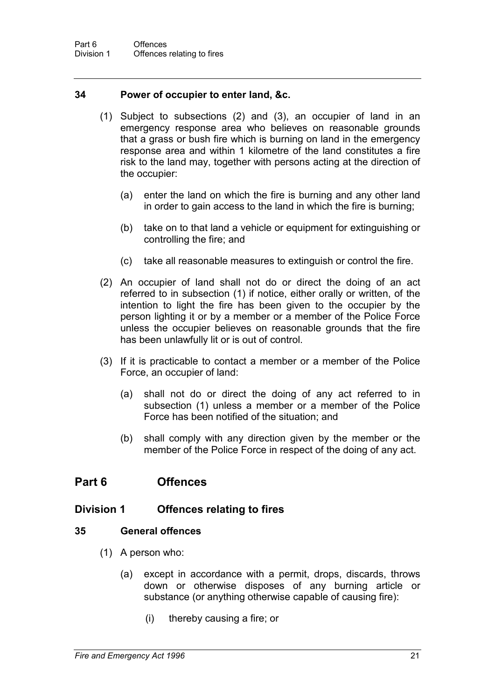#### **34 Power of occupier to enter land, &c.**

- (1) Subject to subsections (2) and (3), an occupier of land in an emergency response area who believes on reasonable grounds that a grass or bush fire which is burning on land in the emergency response area and within 1 kilometre of the land constitutes a fire risk to the land may, together with persons acting at the direction of the occupier:
	- (a) enter the land on which the fire is burning and any other land in order to gain access to the land in which the fire is burning;
	- (b) take on to that land a vehicle or equipment for extinguishing or controlling the fire; and
	- (c) take all reasonable measures to extinguish or control the fire.
- (2) An occupier of land shall not do or direct the doing of an act referred to in subsection (1) if notice, either orally or written, of the intention to light the fire has been given to the occupier by the person lighting it or by a member or a member of the Police Force unless the occupier believes on reasonable grounds that the fire has been unlawfully lit or is out of control.
- (3) If it is practicable to contact a member or a member of the Police Force, an occupier of land:
	- (a) shall not do or direct the doing of any act referred to in subsection (1) unless a member or a member of the Police Force has been notified of the situation; and
	- (b) shall comply with any direction given by the member or the member of the Police Force in respect of the doing of any act.

# **Part 6 Offences**

### **Division 1 Offences relating to fires**

#### **35 General offences**

- (1) A person who:
	- (a) except in accordance with a permit, drops, discards, throws down or otherwise disposes of any burning article or substance (or anything otherwise capable of causing fire):
		- (i) thereby causing a fire; or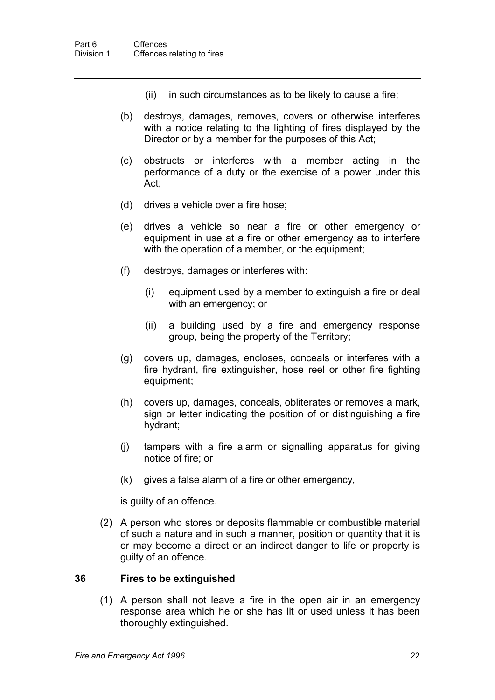- (ii) in such circumstances as to be likely to cause a fire;
- (b) destroys, damages, removes, covers or otherwise interferes with a notice relating to the lighting of fires displayed by the Director or by a member for the purposes of this Act;
- (c) obstructs or interferes with a member acting in the performance of a duty or the exercise of a power under this Act;
- (d) drives a vehicle over a fire hose;
- (e) drives a vehicle so near a fire or other emergency or equipment in use at a fire or other emergency as to interfere with the operation of a member, or the equipment;
- (f) destroys, damages or interferes with:
	- (i) equipment used by a member to extinguish a fire or deal with an emergency; or
	- (ii) a building used by a fire and emergency response group, being the property of the Territory;
- (g) covers up, damages, encloses, conceals or interferes with a fire hydrant, fire extinguisher, hose reel or other fire fighting equipment;
- (h) covers up, damages, conceals, obliterates or removes a mark, sign or letter indicating the position of or distinguishing a fire hydrant;
- (j) tampers with a fire alarm or signalling apparatus for giving notice of fire; or
- (k) gives a false alarm of a fire or other emergency,

is guilty of an offence.

(2) A person who stores or deposits flammable or combustible material of such a nature and in such a manner, position or quantity that it is or may become a direct or an indirect danger to life or property is guilty of an offence.

#### **36 Fires to be extinguished**

(1) A person shall not leave a fire in the open air in an emergency response area which he or she has lit or used unless it has been thoroughly extinguished.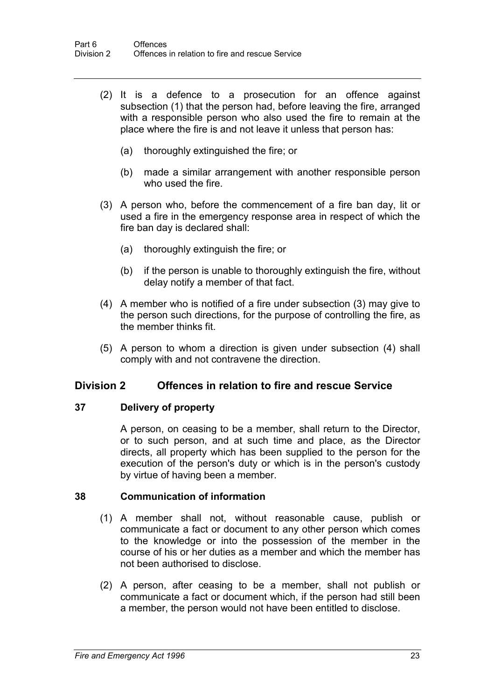- (2) It is a defence to a prosecution for an offence against subsection (1) that the person had, before leaving the fire, arranged with a responsible person who also used the fire to remain at the place where the fire is and not leave it unless that person has:
	- (a) thoroughly extinguished the fire; or
	- (b) made a similar arrangement with another responsible person who used the fire.
- (3) A person who, before the commencement of a fire ban day, lit or used a fire in the emergency response area in respect of which the fire ban day is declared shall:
	- (a) thoroughly extinguish the fire; or
	- (b) if the person is unable to thoroughly extinguish the fire, without delay notify a member of that fact.
- (4) A member who is notified of a fire under subsection (3) may give to the person such directions, for the purpose of controlling the fire, as the member thinks fit.
- (5) A person to whom a direction is given under subsection (4) shall comply with and not contravene the direction.

### **Division 2 Offences in relation to fire and rescue Service**

#### **37 Delivery of property**

A person, on ceasing to be a member, shall return to the Director, or to such person, and at such time and place, as the Director directs, all property which has been supplied to the person for the execution of the person's duty or which is in the person's custody by virtue of having been a member.

#### **38 Communication of information**

- (1) A member shall not, without reasonable cause, publish or communicate a fact or document to any other person which comes to the knowledge or into the possession of the member in the course of his or her duties as a member and which the member has not been authorised to disclose.
- (2) A person, after ceasing to be a member, shall not publish or communicate a fact or document which, if the person had still been a member, the person would not have been entitled to disclose.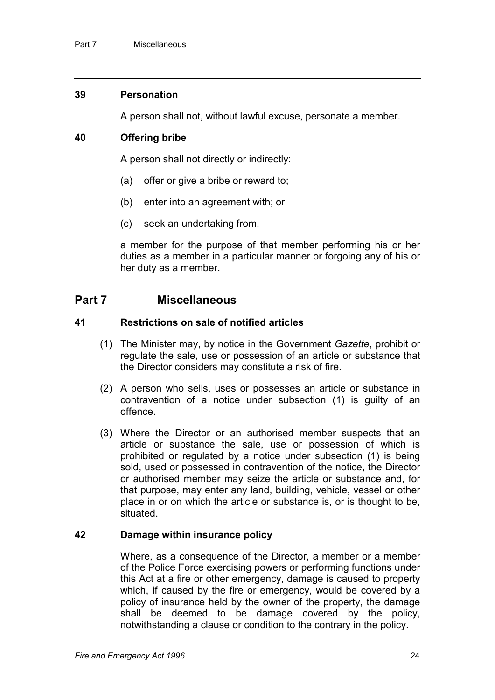#### **39 Personation**

A person shall not, without lawful excuse, personate a member.

#### **40 Offering bribe**

A person shall not directly or indirectly:

- (a) offer or give a bribe or reward to;
- (b) enter into an agreement with; or
- (c) seek an undertaking from,

a member for the purpose of that member performing his or her duties as a member in a particular manner or forgoing any of his or her duty as a member.

### **Part 7 Miscellaneous**

#### **41 Restrictions on sale of notified articles**

- (1) The Minister may, by notice in the Government *Gazette*, prohibit or regulate the sale, use or possession of an article or substance that the Director considers may constitute a risk of fire.
- (2) A person who sells, uses or possesses an article or substance in contravention of a notice under subsection (1) is guilty of an offence.
- (3) Where the Director or an authorised member suspects that an article or substance the sale, use or possession of which is prohibited or regulated by a notice under subsection (1) is being sold, used or possessed in contravention of the notice, the Director or authorised member may seize the article or substance and, for that purpose, may enter any land, building, vehicle, vessel or other place in or on which the article or substance is, or is thought to be, situated.

#### **42 Damage within insurance policy**

Where, as a consequence of the Director, a member or a member of the Police Force exercising powers or performing functions under this Act at a fire or other emergency, damage is caused to property which, if caused by the fire or emergency, would be covered by a policy of insurance held by the owner of the property, the damage shall be deemed to be damage covered by the policy, notwithstanding a clause or condition to the contrary in the policy.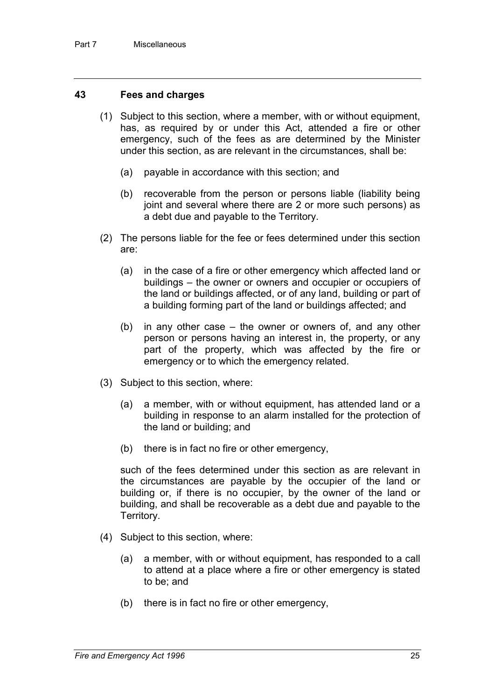#### **43 Fees and charges**

- (1) Subject to this section, where a member, with or without equipment, has, as required by or under this Act, attended a fire or other emergency, such of the fees as are determined by the Minister under this section, as are relevant in the circumstances, shall be:
	- (a) payable in accordance with this section; and
	- (b) recoverable from the person or persons liable (liability being joint and several where there are 2 or more such persons) as a debt due and payable to the Territory.
- (2) The persons liable for the fee or fees determined under this section are:
	- (a) in the case of a fire or other emergency which affected land or buildings – the owner or owners and occupier or occupiers of the land or buildings affected, or of any land, building or part of a building forming part of the land or buildings affected; and
	- (b) in any other case the owner or owners of, and any other person or persons having an interest in, the property, or any part of the property, which was affected by the fire or emergency or to which the emergency related.
- (3) Subject to this section, where:
	- (a) a member, with or without equipment, has attended land or a building in response to an alarm installed for the protection of the land or building; and
	- (b) there is in fact no fire or other emergency,

such of the fees determined under this section as are relevant in the circumstances are payable by the occupier of the land or building or, if there is no occupier, by the owner of the land or building, and shall be recoverable as a debt due and payable to the Territory.

- (4) Subject to this section, where:
	- (a) a member, with or without equipment, has responded to a call to attend at a place where a fire or other emergency is stated to be; and
	- (b) there is in fact no fire or other emergency,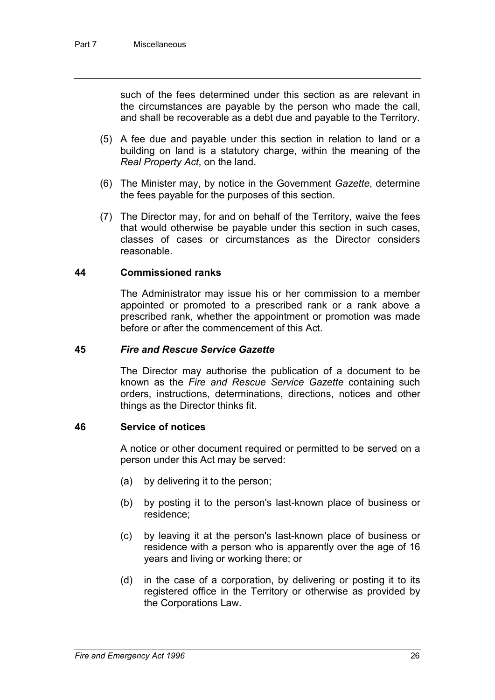such of the fees determined under this section as are relevant in the circumstances are payable by the person who made the call, and shall be recoverable as a debt due and payable to the Territory.

- (5) A fee due and payable under this section in relation to land or a building on land is a statutory charge, within the meaning of the *Real Property Act*, on the land.
- (6) The Minister may, by notice in the Government *Gazette*, determine the fees payable for the purposes of this section.
- (7) The Director may, for and on behalf of the Territory, waive the fees that would otherwise be payable under this section in such cases, classes of cases or circumstances as the Director considers reasonable.

#### **44 Commissioned ranks**

The Administrator may issue his or her commission to a member appointed or promoted to a prescribed rank or a rank above a prescribed rank, whether the appointment or promotion was made before or after the commencement of this Act.

#### **45** *Fire and Rescue Service Gazette*

The Director may authorise the publication of a document to be known as the *Fire and Rescue Service Gazette* containing such orders, instructions, determinations, directions, notices and other things as the Director thinks fit.

#### **46 Service of notices**

A notice or other document required or permitted to be served on a person under this Act may be served:

- (a) by delivering it to the person;
- (b) by posting it to the person's last-known place of business or residence;
- (c) by leaving it at the person's last-known place of business or residence with a person who is apparently over the age of 16 years and living or working there; or
- (d) in the case of a corporation, by delivering or posting it to its registered office in the Territory or otherwise as provided by the Corporations Law.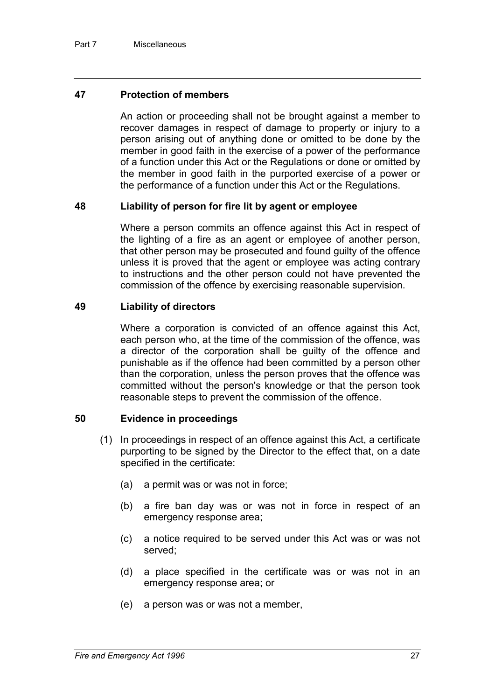#### **47 Protection of members**

An action or proceeding shall not be brought against a member to recover damages in respect of damage to property or injury to a person arising out of anything done or omitted to be done by the member in good faith in the exercise of a power of the performance of a function under this Act or the Regulations or done or omitted by the member in good faith in the purported exercise of a power or the performance of a function under this Act or the Regulations.

#### **48 Liability of person for fire lit by agent or employee**

Where a person commits an offence against this Act in respect of the lighting of a fire as an agent or employee of another person, that other person may be prosecuted and found guilty of the offence unless it is proved that the agent or employee was acting contrary to instructions and the other person could not have prevented the commission of the offence by exercising reasonable supervision.

#### **49 Liability of directors**

Where a corporation is convicted of an offence against this Act, each person who, at the time of the commission of the offence, was a director of the corporation shall be guilty of the offence and punishable as if the offence had been committed by a person other than the corporation, unless the person proves that the offence was committed without the person's knowledge or that the person took reasonable steps to prevent the commission of the offence.

#### **50 Evidence in proceedings**

- (1) In proceedings in respect of an offence against this Act, a certificate purporting to be signed by the Director to the effect that, on a date specified in the certificate:
	- (a) a permit was or was not in force;
	- (b) a fire ban day was or was not in force in respect of an emergency response area;
	- (c) a notice required to be served under this Act was or was not served;
	- (d) a place specified in the certificate was or was not in an emergency response area; or
	- (e) a person was or was not a member,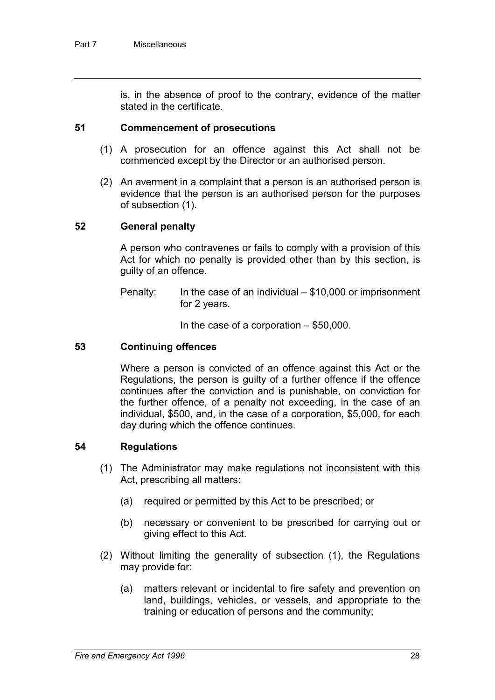is, in the absence of proof to the contrary, evidence of the matter stated in the certificate.

#### **51 Commencement of prosecutions**

- (1) A prosecution for an offence against this Act shall not be commenced except by the Director or an authorised person.
- (2) An averment in a complaint that a person is an authorised person is evidence that the person is an authorised person for the purposes of subsection (1).

#### **52 General penalty**

A person who contravenes or fails to comply with a provision of this Act for which no penalty is provided other than by this section, is guilty of an offence.

Penalty: In the case of an individual  $-$  \$10,000 or imprisonment for 2 years.

In the case of a corporation  $-$  \$50,000.

#### **53 Continuing offences**

Where a person is convicted of an offence against this Act or the Regulations, the person is guilty of a further offence if the offence continues after the conviction and is punishable, on conviction for the further offence, of a penalty not exceeding, in the case of an individual, \$500, and, in the case of a corporation, \$5,000, for each day during which the offence continues.

#### **54 Regulations**

- (1) The Administrator may make regulations not inconsistent with this Act, prescribing all matters:
	- (a) required or permitted by this Act to be prescribed; or
	- (b) necessary or convenient to be prescribed for carrying out or giving effect to this Act.
- (2) Without limiting the generality of subsection (1), the Regulations may provide for:
	- (a) matters relevant or incidental to fire safety and prevention on land, buildings, vehicles, or vessels, and appropriate to the training or education of persons and the community;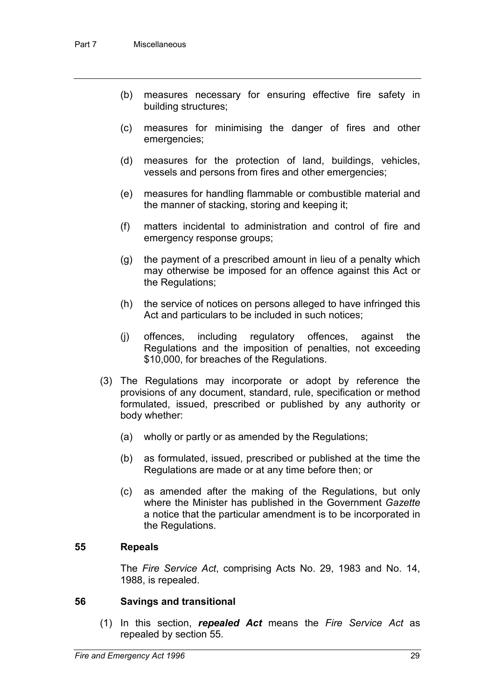- (b) measures necessary for ensuring effective fire safety in building structures;
- (c) measures for minimising the danger of fires and other emergencies;
- (d) measures for the protection of land, buildings, vehicles, vessels and persons from fires and other emergencies;
- (e) measures for handling flammable or combustible material and the manner of stacking, storing and keeping it;
- (f) matters incidental to administration and control of fire and emergency response groups;
- (g) the payment of a prescribed amount in lieu of a penalty which may otherwise be imposed for an offence against this Act or the Regulations;
- (h) the service of notices on persons alleged to have infringed this Act and particulars to be included in such notices;
- (j) offences, including regulatory offences, against the Regulations and the imposition of penalties, not exceeding \$10,000, for breaches of the Regulations.
- (3) The Regulations may incorporate or adopt by reference the provisions of any document, standard, rule, specification or method formulated, issued, prescribed or published by any authority or body whether:
	- (a) wholly or partly or as amended by the Regulations;
	- (b) as formulated, issued, prescribed or published at the time the Regulations are made or at any time before then; or
	- (c) as amended after the making of the Regulations, but only where the Minister has published in the Government *Gazette* a notice that the particular amendment is to be incorporated in the Regulations.

#### **55 Repeals**

The *Fire Service Act*, comprising Acts No. 29, 1983 and No. 14, 1988, is repealed.

#### **56 Savings and transitional**

(1) In this section, *repealed Act* means the *Fire Service Act* as repealed by section 55.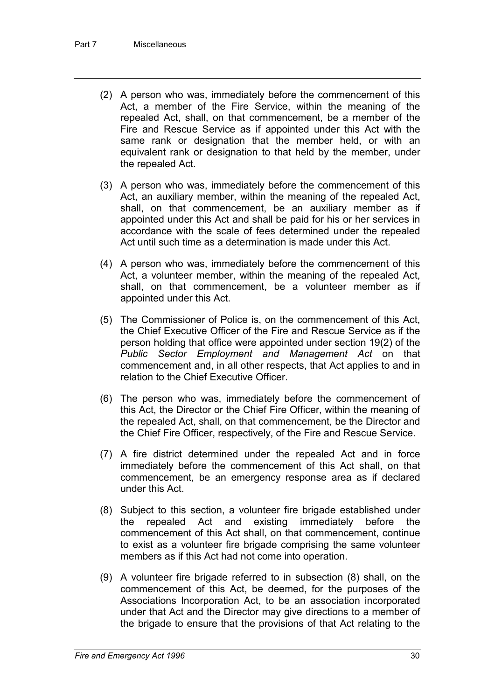- (2) A person who was, immediately before the commencement of this Act, a member of the Fire Service, within the meaning of the repealed Act, shall, on that commencement, be a member of the Fire and Rescue Service as if appointed under this Act with the same rank or designation that the member held, or with an equivalent rank or designation to that held by the member, under the repealed Act.
- (3) A person who was, immediately before the commencement of this Act, an auxiliary member, within the meaning of the repealed Act, shall, on that commencement, be an auxiliary member as if appointed under this Act and shall be paid for his or her services in accordance with the scale of fees determined under the repealed Act until such time as a determination is made under this Act.
- (4) A person who was, immediately before the commencement of this Act, a volunteer member, within the meaning of the repealed Act, shall, on that commencement, be a volunteer member as if appointed under this Act.
- (5) The Commissioner of Police is, on the commencement of this Act, the Chief Executive Officer of the Fire and Rescue Service as if the person holding that office were appointed under section 19(2) of the *Public Sector Employment and Management Act* on that commencement and, in all other respects, that Act applies to and in relation to the Chief Executive Officer.
- (6) The person who was, immediately before the commencement of this Act, the Director or the Chief Fire Officer, within the meaning of the repealed Act, shall, on that commencement, be the Director and the Chief Fire Officer, respectively, of the Fire and Rescue Service.
- (7) A fire district determined under the repealed Act and in force immediately before the commencement of this Act shall, on that commencement, be an emergency response area as if declared under this Act.
- (8) Subject to this section, a volunteer fire brigade established under the repealed Act and existing immediately before the commencement of this Act shall, on that commencement, continue to exist as a volunteer fire brigade comprising the same volunteer members as if this Act had not come into operation.
- (9) A volunteer fire brigade referred to in subsection (8) shall, on the commencement of this Act, be deemed, for the purposes of the Associations Incorporation Act, to be an association incorporated under that Act and the Director may give directions to a member of the brigade to ensure that the provisions of that Act relating to the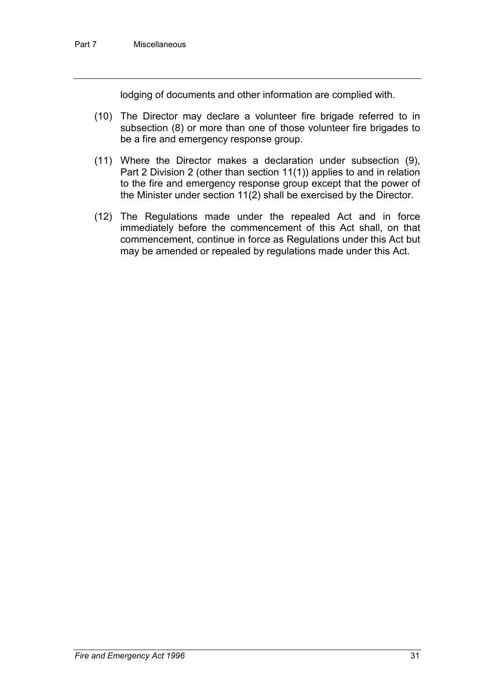lodging of documents and other information are complied with.

- (10) The Director may declare a volunteer fire brigade referred to in subsection (8) or more than one of those volunteer fire brigades to be a fire and emergency response group.
- (11) Where the Director makes a declaration under subsection (9), Part 2 Division 2 (other than section 11(1)) applies to and in relation to the fire and emergency response group except that the power of the Minister under section 11(2) shall be exercised by the Director.
- (12) The Regulations made under the repealed Act and in force immediately before the commencement of this Act shall, on that commencement, continue in force as Regulations under this Act but may be amended or repealed by regulations made under this Act.